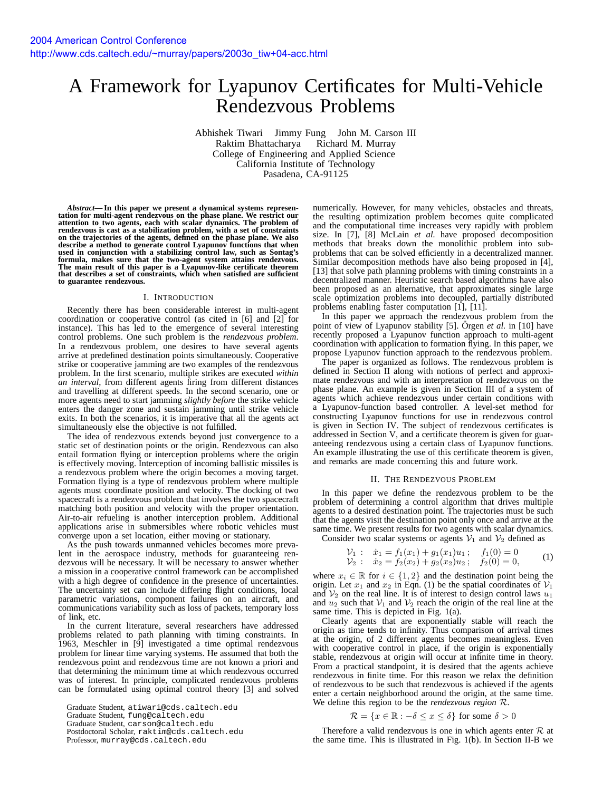# A Framework for Lyapunov Certificates for Multi-Vehicle Rendezvous Problems

Abhishek Tiwari Jimmy Fung John M. Carson III Raktim Bhattacharya Richard M. Murray College of Engineering and Applied Science California Institute of Technology Pasadena, CA-91125

*Abstract***— In this paper we present a dynamical systems representation for multi-agent rendezvous on the phase plane. We restrict our attention to two agents, each with scalar dynamics. The problem of** rendezvous is cast as a stabilization problem, with a set of constraints<br>on the trajectories of the agents, defined on the phase plane. We also<br>describe a method to generate control Lyapunov functions that when **used in conjunction with a stabilizing control law, such as Sontag's formula, makes sure that the two-agent system attains rendezvous. The main result of this paper is a Lyapunov-like certificate theorem that describes a set of constraints, which when satisfied are sufficient to guarantee rendezvous.**

#### I. INTRODUCTION

Recently there has been considerable interest in multi-agent coordination or cooperative control (as cited in [6] and [2] for instance). This has led to the emergence of several interesting control problems. One such problem is the *rendezvous problem*. In a rendezvous problem, one desires to have several agents arrive at predefined destination points simultaneously. Cooperative strike or cooperative jamming are two examples of the rendezvous problem. In the first scenario, multiple strikes are executed *within an interval*, from different agents firing from different distances and travelling at different speeds. In the second scenario, one or more agents need to start jamming *slightly before* the strike vehicle enters the danger zone and sustain jamming until strike vehicle exits. In both the scenarios, it is imperative that all the agents act simultaneously else the objective is not fulfilled.

The idea of rendezvous extends beyond just convergence to a static set of destination points or the origin. Rendezvous can also entail formation flying or interception problems where the origin is effectively moving. Interception of incoming ballistic missiles is a rendezvous problem where the origin becomes a moving target. Formation flying is a type of rendezvous problem where multiple agents must coordinate position and velocity. The docking of two spacecraft is a rendezvous problem that involves the two spacecraft matching both position and velocity with the proper orientation. Air-to-air refueling is another interception problem. Additional applications arise in submersibles where robotic vehicles must converge upon a set location, either moving or stationary.

As the push towards unmanned vehicles becomes more prevalent in the aerospace industry, methods for guaranteeing rendezvous will be necessary. It will be necessary to answer whether a mission in a cooperative control framework can be accomplished with a high degree of confidence in the presence of uncertainties. The uncertainty set can include differing flight conditions, local parametric variations, component failures on an aircraft, and communications variability such as loss of packets, temporary loss of link, etc.

In the current literature, several researchers have addressed problems related to path planning with timing constraints. In 1963, Meschler in [9] investigated a time optimal rendezvous problem for linear time varying systems. He assumed that both the rendezvous point and rendezvous time are not known a priori and that determining the minimum time at which rendezvous occurred was of interest. In principle, complicated rendezvous problems can be formulated using optimal control theory [3] and solved numerically. However, for many vehicles, obstacles and threats, the resulting optimization problem becomes quite complicated and the computational time increases very rapidly with problem size. In [7], [8] McLain *et al.* have proposed decomposition methods that breaks down the monolithic problem into subproblems that can be solved efficiently in a decentralized manner. Similar decomposition methods have also being proposed in [4], [13] that solve path planning problems with timing constraints in a decentralized manner. Heuristic search based algorithms have also been proposed as an alternative, that approximates single large scale optimization problems into decoupled, partially distributed problems enabling faster computation [1], [11].

In this paper we approach the rendezvous problem from the point of view of Lyapunov stability [5]. Orgen *et al.* in [10] have recently proposed a Lyapunov function approach to multi-agent coordination with application to formation flying. In this paper, we propose Lyapunov function approach to the rendezvous problem.

The paper is organized as follows. The rendezvous problem is defined in Section II along with notions of perfect and approximate rendezvous and with an interpretation of rendezvous on the phase plane. An example is given in Section III of a system of agents which achieve rendezvous under certain conditions with a Lyapunov-function based controller. A level-set method for constructing Lyapunov functions for use in rendezvous control is given in Section IV. The subject of rendezvous certificates is addressed in Section V, and a certificate theorem is given for guaranteeing rendezvous using a certain class of Lyapunov functions. An example illustrating the use of this certificate theorem is given, and remarks are made concerning this and future work.

### II. THE RENDEZVOUS PROBLEM

In this paper we define the rendezvous problem to be the problem of determining a control algorithm that drives multiple agents to a desired destination point. The trajectories must be such that the agents visit the destination point only once and arrive at the same time. We present results for two agents with scalar dynamics.

Consider two scalar systems or agents  $V_1$  and  $V_2$  defined as

$$
\begin{array}{rcl}\nV_1: & \dot{x}_1 = f_1(x_1) + g_1(x_1)u_1; & f_1(0) = 0 \\
V_2: & \dot{x}_2 = f_2(x_2) + g_2(x_2)u_2; & f_2(0) = 0,\n\end{array} \tag{1}
$$

where  $x_i \in \mathbb{R}$  for  $i \in \{1,2\}$  and the destination point being the origin. Let  $x_1$  and  $x_2$  in Eqn. (1) be the spatial coordinates of  $\mathcal{V}_1$ and  $V_2$  on the real line. It is of interest to design control laws  $u_1$ and  $u_2$  such that  $V_1$  and  $V_2$  reach the origin of the real line at the same time. This is depicted in Fig. 1(a).

Clearly agents that are exponentially stable will reach the origin as time tends to infinity. Thus comparison of arrival times at the origin, of 2 different agents becomes meaningless. Even with cooperative control in place, if the origin is exponentially stable, rendezvous at origin will occur at infinite time in theory. From a practical standpoint, it is desired that the agents achieve rendezvous in finite time. For this reason we relax the definition of rendezvous to be such that rendezvous is achieved if the agents enter a certain neighborhood around the origin, at the same time. We define this region to be the *rendezvous region* R.

$$
\mathcal{R} = \{x \in \mathbb{R} : -\delta \le x \le \delta\} \text{ for some } \delta > 0
$$

Therefore a valid rendezvous is one in which agents enter  $\mathcal R$  at the same time. This is illustrated in Fig. 1(b). In Section II-B we

Graduate Student, atiwari@cds.caltech.edu

Graduate Student, fung@caltech.edu

Graduate Student, carson@caltech.edu

Postdoctoral Scholar, raktim@cds.caltech.edu

Professor, murray@cds.caltech.edu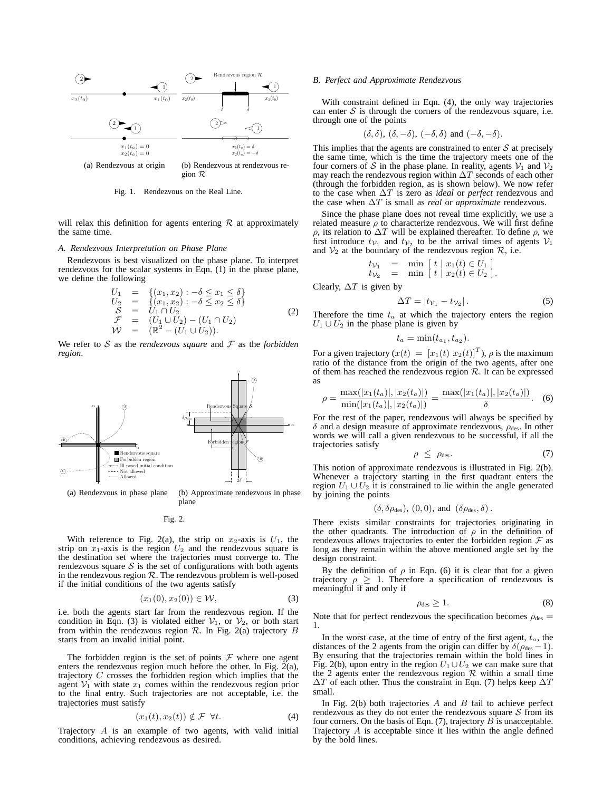

Fig. 1. Rendezvous on the Real Line.

will relax this definition for agents entering  $R$  at approximately the same time.

# *A. Rendezvous Interpretation on Phase Plane*

Rendezvous is best visualized on the phase plane. To interpret rendezvous for the scalar systems in Eqn. (1) in the phase plane, we define the following

$$
U_1 = \{(x_1, x_2) : -\delta \le x_1 \le \delta\}\nU_2 = \{(x_1, x_2) : -\delta \le x_2 \le \delta\}\nS = U_1 \cap U_2\n\mathcal{F} = (U_1 \cup U_2) - (U_1 \cap U_2)\n\mathcal{W} = (\mathbb{R}^2 - (U_1 \cup U_2)).
$$
\n(2)

We refer to  $S$  as the *rendezvous square* and  $F$  as the *forbidden region*.



(a) Rendezvous in phase plane (b) Approximate rendezvous in phase plane

Fig. 2.

With reference to Fig. 2(a), the strip on  $x_2$ -axis is  $U_1$ , the strip on  $x_1$ -axis is the region  $U_2$  and the rendezvous square is the destination set where the trajectories must converge to. The rendezvous square  $S$  is the set of configurations with both agents in the rendezvous region  $R$ . The rendezvous problem is well-posed if the initial conditions of the two agents satisfy

$$
(x_1(0), x_2(0)) \in W,
$$
 (3)

i.e. both the agents start far from the rendezvous region. If the condition in Eqn. (3) is violated either  $V_1$ , or  $V_2$ , or both start from within the rendezvous region  $R$ . In Fig. 2(a) trajectory  $B$ starts from an invalid initial point.

The forbidden region is the set of points  $F$  where one agent enters the rendezvous region much before the other. In Fig.  $2(a)$ , trajectory C crosses the forbidden region which implies that the agent  $V_1$  with state  $x_1$  comes within the rendezvous region prior to the final entry. Such trajectories are not acceptable, i.e. the trajectories must satisfy

$$
(x_1(t), x_2(t)) \notin \mathcal{F} \quad \forall t. \tag{4}
$$

Trajectory A is an example of two agents, with valid initial conditions, achieving rendezvous as desired.

## *B. Perfect and Approximate Rendezvous*

With constraint defined in Eqn. (4), the only way trajectories can enter  $S$  is through the corners of the rendezvous square, i.e. through one of the points

$$
(\delta, \delta), (\delta, -\delta), (-\delta, \delta)
$$
 and  $(-\delta, -\delta)$ .

This implies that the agents are constrained to enter  $S$  at precisely the same time, which is the time the trajectory meets one of the four corners of S in the phase plane. In reality, agents  $V_1$  and  $V_2$ may reach the rendezvous region within  $\Delta T$  seconds of each other (through the forbidden region, as is shown below). We now refer to the case when ∆T is zero as *ideal* or *perfect* rendezvous and the case when ∆T is small as *real* or *approximate* rendezvous.

Since the phase plane does not reveal time explicitly, we use a related measure  $\rho$  to characterize rendezvous. We will first define ρ, its relation to ∆T will be explained thereafter. To define ρ, we first introduce  $t_{\mathcal{V}_1}$  and  $t_{\mathcal{V}_2}$  to be the arrival times of agents  $\mathcal{V}_1$ and  $\mathcal{V}_2$  at the boundary of the rendezvous region  $\mathcal{R}$ , i.e.

$$
\begin{array}{rcl}\nt_{\mathcal{V}_1} & = & \min \left[ t \mid x_1(t) \in U_1 \right] \\
t_{\mathcal{V}_2} & = & \min \left[ t \mid x_2(t) \in U_2 \right].\n\end{array}
$$

Clearly,  $\Delta T$  is given by

$$
\Delta T = |t_{\mathcal{V}_1} - t_{\mathcal{V}_2}|.
$$
 (5)

Therefore the time  $t_a$  at which the trajectory enters the region  $U_1 \cup U_2$  in the phase plane is given by

$$
t_a = \min(t_{a_1}, t_{a_2}).
$$

For a given trajectory  $(x(t) = [x_1(t) \ x_2(t)]^T)$ ,  $\rho$  is the maximum ratio of the distance from the origin of the two agents, after one of them has reached the rendezvous region  $R$ . It can be expressed as

$$
\rho = \frac{\max(|x_1(t_a)|, |x_2(t_a)|)}{\min(|x_1(t_a)|, |x_2(t_a)|)} = \frac{\max(|x_1(t_a)|, |x_2(t_a)|)}{\delta}.
$$
 (6)

For the rest of the paper, rendezvous will always be specified by δ and a design measure of approximate rendezvous,  $ρ<sub>des</sub>$ . In other words we will call a given rendezvous to be successful, if all the trajectories satisfy

$$
\rho \leq \rho_{\text{des}}.\tag{7}
$$

This notion of approximate rendezvous is illustrated in Fig. 2(b). Whenever a trajectory starting in the first quadrant enters the region  $U_1 \cup U_2$  it is constrained to lie within the angle generated by joining the points

$$
(\delta, \delta \rho_{\text{des}}), (0, 0), \text{ and } (\delta \rho_{\text{des}}, \delta).
$$

There exists similar constraints for trajectories originating in the other quadrants. The introduction of  $\rho$  in the definition of rendezvous allows trajectories to enter the forbidden region  $\mathcal F$  as long as they remain within the above mentioned angle set by the design constraint.

By the definition of  $\rho$  in Eqn. (6) it is clear that for a given trajectory  $\rho \geq 1$ . Therefore a specification of rendezvous is meaningful if and only if

$$
\rho_{\rm des} \ge 1. \tag{8}
$$

Note that for perfect rendezvous the specification becomes  $\rho_{\text{des}} =$ 1.

In the worst case, at the time of entry of the first agent,  $t_a$ , the distances of the 2 agents from the origin can differ by  $\delta(\rho_{des} - 1)$ . By ensuring that the trajectories remain within the bold lines in Fig. 2(b), upon entry in the region  $U_1 \cup U_2$  we can make sure that the 2 agents enter the rendezvous region  $R$  within a small time  $\Delta T$  of each other. Thus the constraint in Eqn. (7) helps keep  $\Delta T$ small.

In Fig. 2(b) both trajectories  $A$  and  $B$  fail to achieve perfect rendezvous as they do not enter the rendezvous square  $S$  from its four corners. On the basis of Eqn.  $(7)$ , trajectory B is unacceptable. Trajectory A is acceptable since it lies within the angle defined by the bold lines.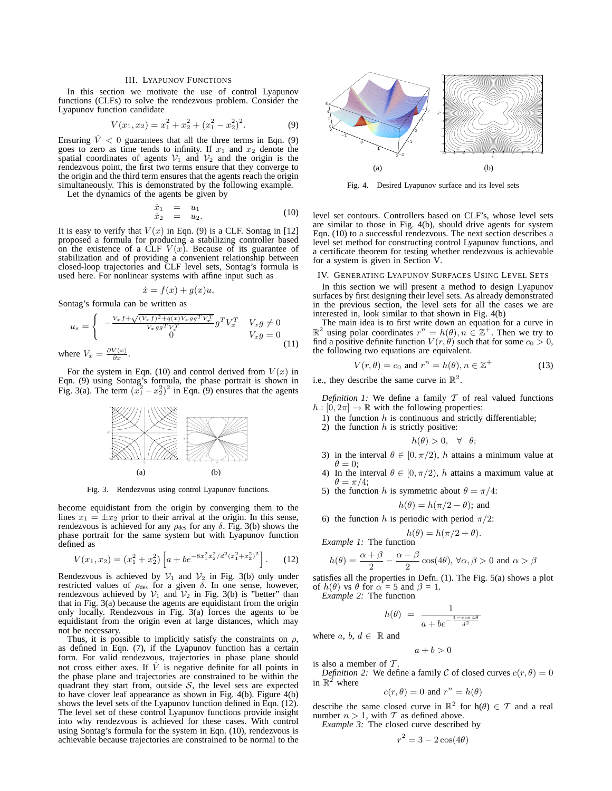# III. LYAPUNOV FUNCTIONS

In this section we motivate the use of control Lyapunov functions (CLFs) to solve the rendezvous problem. Consider the Lyapunov function candidate

$$
V(x_1, x_2) = x_1^2 + x_2^2 + (x_1^2 - x_2^2)^2.
$$
 (9)

Ensuring  $\dot{V}$  < 0 guarantees that all the three terms in Eqn. (9) goes to zero as time tends to infinity. If  $x_1$  and  $x_2$  denote the spatial coordinates of agents  $V_1$  and  $V_2$  and the origin is the rendezvous point, the first two terms ensure that they converge to the origin and the third term ensures that the agents reach the origin simultaneously. This is demonstrated by the following example.

Let the dynamics of the agents be given by

$$
\begin{array}{rcl}\n\dot{x}_1 &=& u_1 \\
\dot{x}_2 &=& u_2.\n\end{array} \n\tag{10}
$$

It is easy to verify that  $V(x)$  in Eqn. (9) is a CLF. Sontag in [12] proposed a formula for producing a stabilizing controller based on the existence of a CLF  $V(x)$ . Because of its guarantee of stabilization and of providing a convenient relationship between closed-loop trajectories and CLF level sets, Sontag's formula is used here. For nonlinear systems with affine input such as

$$
\dot{x} = f(x) + g(x)u,
$$

Sontag's formula can be written as

$$
u_s = \begin{cases} -\frac{V_x f + \sqrt{(V_x f)^2 + q(x)V_x gg^T V_x^T}}{V_x gg^T V_x^T} g^T V_x^T & V_x g \neq 0\\ 0 & V_x g = 0\\ \text{where } V_x = \frac{\partial V(x)}{\partial x}.\end{cases}
$$
(11)

For the system in Eqn. (10) and control derived from  $V(x)$  in Eqn. (9) using Sontag's formula, the phase portrait is shown in Fig. 3(a). The term  $(x_1^2 - x_2^2)^2$  in Eqn. (9) ensures that the agents



Fig. 3. Rendezvous using control Lyapunov functions.

become equidistant from the origin by converging them to the lines  $x_1 = \pm x_2$  prior to their arrival at the origin. In this sense, rendezvous is achieved for any  $\rho_{\text{des}}$  for any  $\delta$ . Fig. 3(b) shows the phase portrait for the same system but with Lyapunov function defined as

$$
V(x_1, x_2) = (x_1^2 + x_2^2) \left[ a + b e^{-8x_1^2 x_2^2 / d^2 (x_1^2 + x_2^2)^2} \right].
$$
 (12)

Rendezvous is achieved by  $V_1$  and  $V_2$  in Fig. 3(b) only under restricted values of  $\rho_{\text{des}}$  for a given  $\delta$ . In one sense, however, rendezvous achieved by  $V_1$  and  $V_2$  in Fig. 3(b) is "better" than that in Fig. 3(a) because the agents are equidistant from the origin only locally. Rendezvous in Fig. 3(a) forces the agents to be equidistant from the origin even at large distances, which may not be necessary.

Thus, it is possible to implicitly satisfy the constraints on  $\rho$ , as defined in Eqn. (7), if the Lyapunov function has a certain form. For valid rendezvous, trajectories in phase plane should not cross either axes. If  $\dot{V}$  is negative definite for all points in the phase plane and trajectories are constrained to be within the quadrant they start from, outside  $S$ , the level sets are expected to have clover leaf appearance as shown in Fig. 4(b). Figure 4(b) shows the level sets of the Lyapunov function defined in Eqn. (12). The level set of these control Lyapunov functions provide insight into why rendezvous is achieved for these cases. With control using Sontag's formula for the system in Eqn. (10), rendezvous is achievable because trajectories are constrained to be normal to the



Fig. 4. Desired Lyapunov surface and its level sets

level set contours. Controllers based on CLF's, whose level sets are similar to those in Fig. 4(b), should drive agents for system Eqn. (10) to a successful rendezvous. The next section describes a level set method for constructing control Lyapunov functions, and a certificate theorem for testing whether rendezvous is achievable for a system is given in Section V.

## IV. GENERATING LYAPUNOV SURFACES USING LEVEL SETS

In this section we will present a method to design Lyapunov surfaces by first designing their level sets. As already demonstrated in the previous section, the level sets for all the cases we are interested in, look similar to that shown in Fig. 4(b)

The main idea is to first write down an equation for a curve in  $\mathbb{R}^2$  using polar coordinates  $r^n = h(\theta), n \in \mathbb{Z}^+$ . Then we try to find a positive definite function  $V(r, \theta)$  such that for some  $c_0 > 0$ , the following two equations are equivalent.

$$
V(r, \theta) = c_0 \text{ and } r^n = h(\theta), n \in \mathbb{Z}^+\tag{13}
$$

i.e., they describe the same curve in  $\mathbb{R}^2$ .

*Definition 1:* We define a family  $T$  of real valued functions  $h : [0, 2\pi] \to \mathbb{R}$  with the following properties:

- 1) the function  $h$  is continuous and strictly differentiable;
- 2) the function  $h$  is strictly positive:

$$
h(\theta) > 0, \quad \forall \quad \theta;
$$

- 3) in the interval  $\theta \in [0, \pi/2)$ , h attains a minimum value at  $\theta = 0$ :
- 4) In the interval  $\theta \in [0, \pi/2)$ , h attains a maximum value at  $\theta = \pi/4;$
- 5) the function h is symmetric about  $\theta = \pi/4$ :

$$
h(\theta) = h(\pi/2 - \theta)
$$
; and

6) the function h is periodic with period  $\pi/2$ :

$$
h(\theta) = h(\pi/2 + \theta).
$$
  
*Example 1:* The function

$$
h(\theta)=\frac{\alpha+\beta}{2}-\frac{\alpha-\beta}{2}\cos(4\theta),\,\forall\alpha,\beta>0\,\,\text{and}\,\,\alpha>\beta
$$

satisfies all the properties in Defn. (1). The Fig. 5(a) shows a plot of  $h(\theta)$  vs  $\theta$  for  $\alpha = 5$  and  $\beta = 1$ .

*Example 2:* The function

$$
h(\theta) = \frac{1}{a + be^{-\frac{1 - \cos 4\theta}{d^2}}}
$$

$$
\mathsf{re}\,\,a,\,b,\,d\in\,\mathbb{R}\,\,\mathsf{and}\,\,
$$

whe<sup>-</sup>

is also a member of  $T$ . *Definition 2:* We define a family C of closed curves  $c(r, \theta) = 0$ 

in  $\mathbb{R}^{\check{2}}$  where

 $a + b > 0$ 

$$
c(r, \theta) = 0 \text{ and } r^n = h(\theta)
$$

describe the same closed curve in  $\mathbb{R}^2$  for  $h(\theta) \in \mathcal{T}$  and a real number  $n > 1$ , with T as defined above.

*Example 3:* The closed curve described by

$$
r^2 = 3 - 2\cos(4\theta)
$$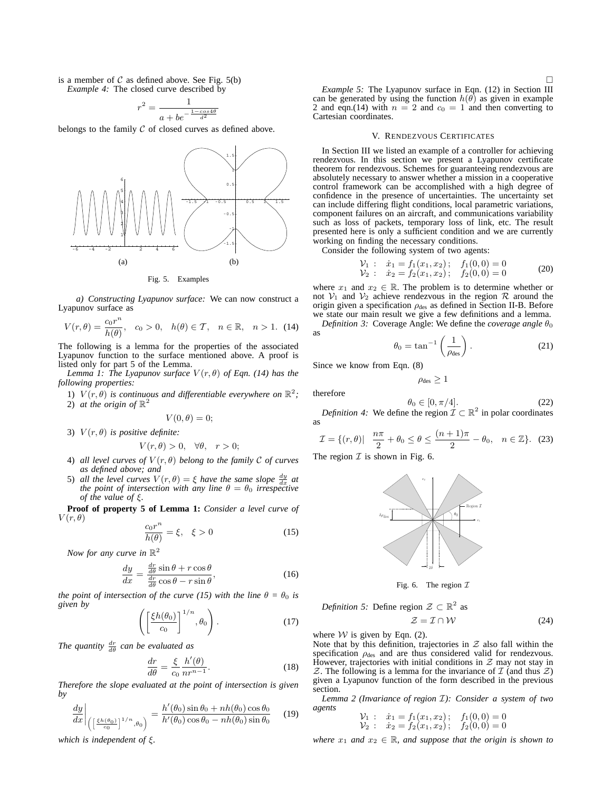is a member of  $C$  as defined above. See Fig.  $5(b)$ 

*Example 4:* The closed curve described by

$$
r^2 = \frac{1}{a + be^{-\frac{1 - \cos 4\theta}{d^2}}}
$$

belongs to the family  $C$  of closed curves as defined above.



Fig. 5. Examples

*a) Constructing Lyapunov surface:* We can now construct a Lyapunov surface as

$$
V(r,\theta) = \frac{c_0 r^n}{h(\theta)}, \quad c_0 > 0, \quad h(\theta) \in \mathcal{T}, \quad n \in \mathbb{R}, \quad n > 1. \tag{14}
$$

The following is a lemma for the properties of the associated Lyapunov function to the surface mentioned above. A proof is listed only for part 5 of the Lemma.

*Lemma 1: The Lyapunov surface*  $V(r, \theta)$  *of Eqn.* (14) has the *following properties:*

1)  $V(r, \theta)$  *is continuous and differentiable everywhere on*  $\mathbb{R}^2$ ; 2) at the origin of  $\mathbb{R}^2$ 

 $V(0, \theta) = 0;$ 

3)  $V(r, \theta)$  *is positive definite:* 

$$
V(r,\theta) > 0, \quad \forall \theta, \quad r > 0;
$$

- 4) *all level curves of*  $V(r, \theta)$  *belong to the family*  $C$  *of curves as defined above; and*
- 5) *all the level curves*  $V(r, \theta) = \xi$  have the same slope  $\frac{dy}{dx}$  at *the point of intersection with any line*  $\theta = \theta_0$  *irrespective of the value of* ξ*.*

**Proof of property 5 of Lemma 1:** *Consider a level curve of*  $V(r, \theta)$ 

$$
\frac{c_0 r^n}{h(\theta)} = \xi, \quad \xi > 0 \tag{15}
$$

*Now for any curve in*  $\mathbb{R}^2$ 

$$
\frac{dy}{dx} = \frac{\frac{dr}{d\theta}\sin\theta + r\cos\theta}{\frac{dr}{d\theta}\cos\theta - r\sin\theta},
$$
\n(16)

*the point of intersection of the curve (15) with the line*  $\theta = \theta_0$  *is given by*

$$
\left( \left[ \frac{\xi h(\theta_0)}{c_0} \right]^{1/n}, \theta_0 \right). \tag{17}
$$

*The quantity*  $\frac{dr}{d\theta}$  *can be evaluated as* 

$$
\frac{dr}{d\theta} = \frac{\xi}{c_0} \frac{h'(\theta)}{nr^{n-1}}.
$$
\n(18)

*Therefore the slope evaluated at the point of intersection is given by*

$$
\frac{dy}{dx}\bigg|_{\left(\left[\frac{\xi h(\theta_0)}{c_0}\right]^{1/n},\theta_0\right)} = \frac{h'(\theta_0)\sin\theta_0 + nh(\theta_0)\cos\theta_0}{h'(\theta_0)\cos\theta_0 - nh(\theta_0)\sin\theta_0} \qquad (19)
$$

*which is independent of* ξ*.*

# V. RENDEZVOUS CERTIFICATES

In Section III we listed an example of a controller for achieving rendezvous. In this section we present a Lyapunov certificate theorem for rendezvous. Schemes for guaranteeing rendezvous are absolutely necessary to answer whether a mission in a cooperative control framework can be accomplished with a high degree of confidence in the presence of uncertainties. The uncertainty set can include differing flight conditions, local parametric variations, component failures on an aircraft, and communications variability such as loss of packets, temporary loss of link, etc. The result presented here is only a sufficient condition and we are currently working on finding the necessary conditions.

Consider the following system of two agents:

$$
\begin{array}{rcl}\nV_1: & \dot{x}_1 = f_1(x_1, x_2); & f_1(0, 0) = 0 \\
V_2: & \dot{x}_2 = f_2(x_1, x_2); & f_2(0, 0) = 0\n\end{array} \tag{20}
$$

where  $x_1$  and  $x_2 \in \mathbb{R}$ . The problem is to determine whether or not  $V_1$  and  $V_2$  achieve rendezvous in the region  $R$  around the origin given a specification  $\rho_{des}$  as defined in Section II-B. Before we state our main result we give a few definitions and a lemma.

*Definition 3:* Coverage Angle: We define the *coverage angle*  $\theta_0$ as

$$
\theta_0 = \tan^{-1}\left(\frac{1}{\rho_{\text{des}}}\right). \tag{21}
$$

Since we know from Eqn. (8)

therefore

 $\rho_{\text{des}} \geq 1$ 

$$
(22)
$$

 $\theta_0 \in [0, \pi/4].$ *Definition 4:* We define the region  $\mathcal{I} \subset \mathbb{R}^2$  in polar coordinates as

$$
\mathcal{I} = \{ (r,\theta) | \quad \frac{n\pi}{2} + \theta_0 \le \theta \le \frac{(n+1)\pi}{2} - \theta_0, \quad n \in \mathbb{Z} \}. \tag{23}
$$

The region  $\mathcal I$  is shown in Fig. 6.



Fig. 6. The region  $\mathcal I$ 

*Definition 5:* Define region  $\mathcal{Z} \subset \mathbb{R}^2$  as

$$
\mathcal{Z} = \mathcal{I} \cap \mathcal{W} \tag{24}
$$

where  $W$  is given by Eqn. (2).

Note that by this definition, trajectories in  $Z$  also fall within the specification  $\rho_{\text{des}}$  and are thus considered valid for rendezvous. However, trajectories with initial conditions in  $Z$  may not stay in  $Z$ . The following is a lemma for the invariance of  $I$  (and thus  $Z$ ) given a Lyapunov function of the form described in the previous section.

*Lemma 2 (Invariance of region* I*): Consider a system of two agents*

$$
\begin{array}{lll}\n\mathcal{V}_1 & : & \dot{x}_1 = f_1(x_1, x_2); & f_1(0, 0) = 0 \\
\mathcal{V}_2 & : & \dot{x}_2 = f_2(x_1, x_2); & f_2(0, 0) = 0\n\end{array}
$$

*where*  $x_1$  *and*  $x_2 \in \mathbb{R}$ *, and suppose that the origin is shown to*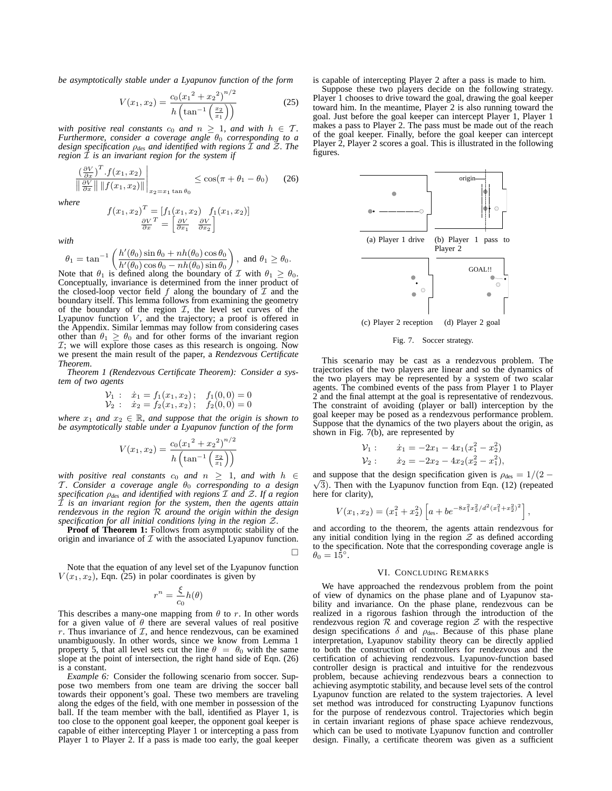*be asymptotically stable under a Lyapunov function of the form*

$$
V(x_1, x_2) = \frac{c_0 (x_1^2 + x_2^2)^{n/2}}{h \left(\tan^{-1} \left(\frac{x_2}{x_1}\right)\right)}
$$
(25)

*with positive real constants*  $c_0$  *and*  $n \geq 1$ *, and with*  $h \in \mathcal{T}$ *. Furthermore, consider a coverage angle*  $θ_0$  *corresponding to a design specification* ρ*des and identified with regions* I *and* Z*. The region* I *is an invariant region for the system if*

$$
\frac{\left(\frac{\partial V}{\partial x}\right)^T f(x_1, x_2)}{\left\|\frac{\partial V}{\partial x}\right\| \|f(x_1, x_2)\|}\Big|_{x_2 = x_1 \tan \theta_0} \le \cos(\pi + \theta_1 - \theta_0) \tag{26}
$$

*where*

$$
f(x_1, x_2)^T = [f_1(x_1, x_2) f_1(x_1, x_2)]
$$

$$
\frac{\partial V}{\partial x} = \begin{bmatrix} \frac{\partial V}{\partial x_1} & \frac{\partial V}{\partial x_2} \end{bmatrix}
$$

*with*

$$
\theta_1 = \tan^{-1}\left(\frac{h'(\theta_0)\sin\theta_0 + nh(\theta_0)\cos\theta_0}{h'(\theta_0)\cos\theta_0 - nh(\theta_0)\sin\theta_0}\right), \text{ and } \theta_1 \ge \theta_0.
$$

Note that  $\theta_1$  is defined along the boundary of  $\mathcal I$  with  $\theta_1 \ge \theta_0$ . Conceptually, invariance is determined from the inner product of the closed-loop vector field  $f$  along the boundary of  $\mathcal I$  and the boundary itself. This lemma follows from examining the geometry of the boundary of the region  $I$ , the level set curves of the Lyapunov function  $V$ , and the trajectory; a proof is offered in the Appendix. Similar lemmas may follow from considering cases other than  $\theta_1 \ge \theta_0$  and for other forms of the invariant region  $I$ ; we will explore those cases as this research is ongoing. Now we present the main result of the paper, a *Rendezvous Certificate Theorem*.

*Theorem 1 (Rendezvous Certificate Theorem): Consider a system of two agents*

$$
\begin{array}{rcl}\nV_1: & \dot{x}_1 = f_1(x_1, x_2); & f_1(0, 0) = 0 \\
V_2: & \dot{x}_2 = f_2(x_1, x_2); & f_2(0, 0) = 0\n\end{array}
$$

*where*  $x_1$  *and*  $x_2 \in \mathbb{R}$ *, and suppose that the origin is shown to be asymptotically stable under a Lyapunov function of the form*

$$
V(x_1, x_2) = \frac{c_0 (x_1^2 + x_2^2)^{n/2}}{h \left(\tan^{-1} \left(\frac{x_2}{x_1}\right)\right)}
$$

*with positive real constants*  $c_0$  *and*  $n \geq 1$ *, and with*  $h \in$ T. Consider a coverage angle θ<sub>0</sub> corresponding to a design *specification* ρ*des and identified with regions* I *and* Z*. If a region* I *is an invariant region for the system, then the agents attain rendezvous in the region* R *around the origin within the design specification for all initial conditions lying in the region* Z*.*

**Proof of Theorem 1:** Follows from asymptotic stability of the origin and invariance of  $\mathcal I$  with the associated Lyapunov function.

 $\Box$ 

Note that the equation of any level set of the Lyapunov function  $V(x_1, x_2)$ , Eqn. (25) in polar coordinates is given by

$$
r^n = \frac{\xi}{c_0}h(\theta)
$$

This describes a many-one mapping from  $\theta$  to r. In other words for a given value of  $\theta$  there are several values of real positive r. Thus invariance of  $\mathcal{I}$ , and hence rendezvous, can be examined unambiguously. In other words, since we know from Lemma 1 property 5, that all level sets cut the line  $\theta = \theta_0$  with the same slope at the point of intersection, the right hand side of Eqn. (26) is a constant.

*Example 6:* Consider the following scenario from soccer. Suppose two members from one team are driving the soccer ball towards their opponent's goal. These two members are traveling along the edges of the field, with one member in possession of the ball. If the team member with the ball, identified as Player 1, is too close to the opponent goal keeper, the opponent goal keeper is capable of either intercepting Player 1 or intercepting a pass from Player 1 to Player 2. If a pass is made too early, the goal keeper

is capable of intercepting Player 2 after a pass is made to him.

Suppose these two players decide on the following strategy. Player 1 chooses to drive toward the goal, drawing the goal keeper toward him. In the meantime, Player 2 is also running toward the goal. Just before the goal keeper can intercept Player 1, Player 1 makes a pass to Player 2. The pass must be made out of the reach of the goal keeper. Finally, before the goal keeper can intercept Player 2, Player 2 scores a goal. This is illustrated in the following figures.



Fig. 7. Soccer strategy.

This scenario may be cast as a rendezvous problem. The trajectories of the two players are linear and so the dynamics of the two players may be represented by a system of two scalar agents. The combined events of the pass from Player 1 to Player 2 and the final attempt at the goal is representative of rendezvous. The constraint of avoiding (player or ball) interception by the goal keeper may be posed as a rendezvous performance problem. Suppose that the dynamics of the two players about the origin, as shown in Fig. 7(b), are represented by

$$
\begin{aligned}\n\mathcal{V}_1: \qquad \dot{x}_1 &= -2x_1 - 4x_1(x_1^2 - x_2^2) \\
\mathcal{V}_2: \qquad \dot{x}_2 &= -2x_2 - 4x_2(x_2^2 - x_1^2),\n\end{aligned}
$$

and suppose that the design specification given is  $\rho_{\text{des}} = 1/(2 - \frac{1}{2})$  $\sqrt{3}$ ). Then with the Lyapunov function from Eqn. (12) (repeated here for clarity),

$$
V(x_1, x_2) = (x_1^2 + x_2^2) \left[ a + b e^{-8x_1^2 x_2^2 / d^2 (x_1^2 + x_2^2)^2} \right],
$$

and according to the theorem, the agents attain rendezvous for any initial condition lying in the region  $Z$  as defined according to the specification. Note that the corresponding coverage angle is  $\theta_0 = 15^\circ.$ 

#### VI. CONCLUDING REMARKS

We have approached the rendezvous problem from the point of view of dynamics on the phase plane and of Lyapunov stability and invariance. On the phase plane, rendezvous can be realized in a rigorous fashion through the introduction of the rendezvous region  $R$  and coverage region  $\mathcal Z$  with the respective design specifications  $\delta$  and  $\rho_{\text{des}}$ . Because of this phase plane interpretation, Lyapunov stability theory can be directly applied to both the construction of controllers for rendezvous and the certification of achieving rendezvous. Lyapunov-function based controller design is practical and intuitive for the rendezvous problem, because achieving rendezvous bears a connection to achieving asymptotic stability, and because level sets of the control Lyapunov function are related to the system trajectories. A level set method was introduced for constructing Lyapunov functions for the purpose of rendezvous control. Trajectories which begin in certain invariant regions of phase space achieve rendezvous, which can be used to motivate Lyapunov function and controller design. Finally, a certificate theorem was given as a sufficient